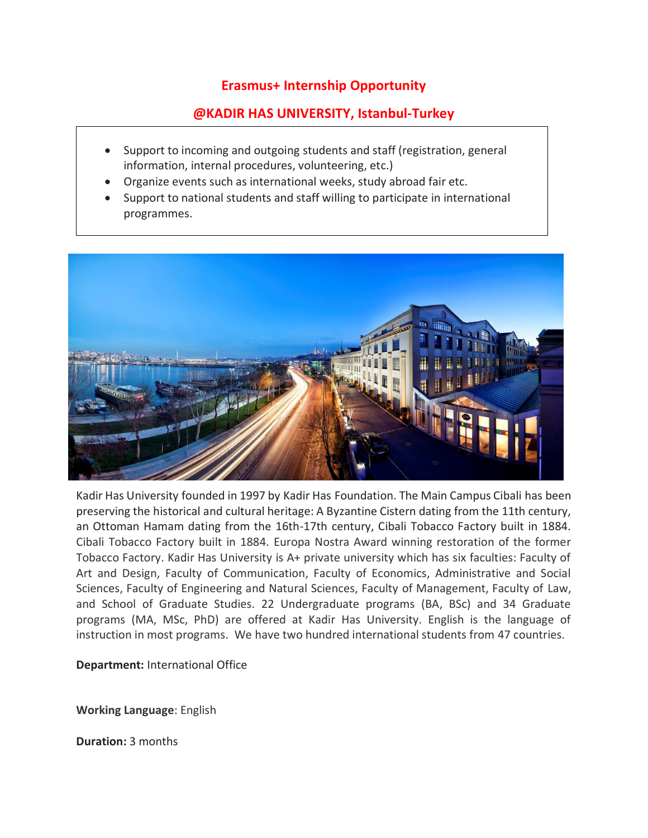## **Erasmus+ Internship Opportunity**

# **@KADIR HAS UNIVERSITY, Istanbul-Turkey**

- Support to incoming and outgoing students and staff (registration, general information, internal procedures, volunteering, etc.)
- Organize events such as international weeks, study abroad fair etc.
- Support to national students and staff willing to participate in international programmes.



Kadir Has University founded in 1997 by Kadir Has Foundation. The Main Campus Cibali has been preserving the historical and cultural heritage: A Byzantine Cistern dating from the 11th century, an Ottoman Hamam dating from the 16th-17th century, Cibali Tobacco Factory built in 1884. Cibali Tobacco Factory built in 1884. Europa Nostra Award winning restoration of the former Tobacco Factory. Kadir Has University is A+ private university which has six faculties: Faculty of Art and Design, Faculty of Communication, Faculty of Economics, Administrative and Social Sciences, Faculty of Engineering and Natural Sciences, Faculty of Management, Faculty of Law, and School of Graduate Studies. 22 Undergraduate programs (BA, BSc) and 34 Graduate programs (MA, MSc, PhD) are offered at Kadir Has University. English is the language of instruction in most programs. We have two hundred international students from 47 countries.

**Department:** International Office

**Working Language**: English

**Duration:** 3 months